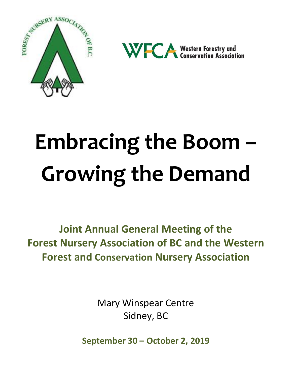



# **Embracing the Boom – Growing the Demand**

**Joint Annual General Meeting of the Forest Nursery Association of BC and the Western Forest and Conservation Nursery Association**

> Mary Winspear Centre Sidney, BC

**September 30 – October 2, 2019**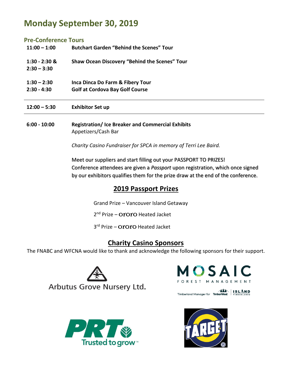# **Monday September 30, 2019**

# **Pre-Conference Tours**

| $11:00 - 1:00$                   | <b>Butchart Garden "Behind the Scenes" Tour</b>                            |
|----------------------------------|----------------------------------------------------------------------------|
| $1:30 - 2:30$ &<br>$2:30 - 3:30$ | Shaw Ocean Discovery "Behind the Scenes" Tour                              |
| $1:30 - 2:30$<br>$2:30 - 4:30$   | Inca Dinca Do Farm & Fibery Tour<br><b>Golf at Cordova Bay Golf Course</b> |
| $12:00 - 5:30$                   | <b>Exhibitor Set up</b>                                                    |

# **6:00 - 10:00 Registration/ Ice Breaker and Commercial Exhibits** Appetizers/Cash Bar

*Charity Casino Fundraiser for SPCA in memory of Terri Lee Baird.*

Meet our suppliers and start filling out your PASSPORT TO PRIZES! Conference attendees are given a *Passport* upon registration, which once signed by our exhibitors qualifies them for the prize draw at the end of the conference.

# **2019 Passport Prizes**

Grand Prize – Vancouver Island Getaway

2<sup>nd</sup> Prize – OYOYO Heated Jacket

3<sup>rd</sup> Prize – OYOYO Heated Jacket

# **Charity Casino Sponsors**

The FNABC and WFCNA would like to thank and acknowledge the following sponsors for their support.







Timberland Manager for TimberWest | ISLAND

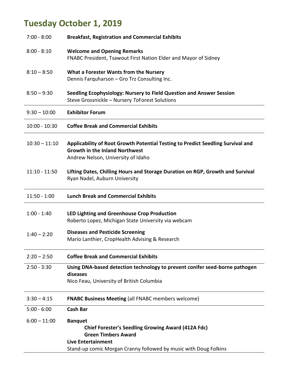# **Tuesday October 1, 2019**

| $7:00 - 8:00$   | <b>Breakfast, Registration and Commercial Exhibits</b>                                                                                                         |
|-----------------|----------------------------------------------------------------------------------------------------------------------------------------------------------------|
| $8:00 - 8:10$   | <b>Welcome and Opening Remarks</b><br>FNABC President, Tsawout First Nation Elder and Mayor of Sidney                                                          |
| $8:10 - 8:50$   | What a Forester Wants from the Nursery<br>Dennis Farquharson - Gro Trz Consulting Inc.                                                                         |
| $8:50 - 9:30$   | Seedling Ecophysiology: Nursery to Field Question and Answer Session<br>Steve Grossnickle - Nursery ToForest Solutions                                         |
| $9:30 - 10:00$  | <b>Exhibitor Forum</b>                                                                                                                                         |
| $10:00 - 10:30$ | <b>Coffee Break and Commercial Exhibits</b>                                                                                                                    |
| $10:30 - 11:10$ | Applicability of Root Growth Potential Testing to Predict Seedling Survival and<br><b>Growth in the Inland Northwest</b><br>Andrew Nelson, University of Idaho |
| $11:10 - 11:50$ | Lifting Dates, Chilling Hours and Storage Duration on RGP, Growth and Survival<br>Ryan Nadel, Auburn University                                                |
| $11:50 - 1:00$  | <b>Lunch Break and Commercial Exhibits</b>                                                                                                                     |
| $1:00 - 1:40$   | LED Lighting and Greenhouse Crop Production<br>Roberto Lopez, Michigan State University via webcam                                                             |
| $1:40 - 2:20$   | <b>Diseases and Pesticide Screening</b><br>Mario Lanthier, CropHealth Advising & Research                                                                      |
| $2:20 - 2:50$   | <b>Coffee Break and Commercial Exhibits</b>                                                                                                                    |
| $2:50 - 3:30$   | Using DNA-based detection technology to prevent conifer seed-borne pathogen<br>diseases<br>Nico Feau, University of British Columbia                           |
| $3:30 - 4:15$   | <b>FNABC Business Meeting (all FNABC members welcome)</b>                                                                                                      |
| $5:00 - 6:00$   | <b>Cash Bar</b>                                                                                                                                                |
| $6:00 - 11:00$  | <b>Banquet</b><br><b>Chief Forester's Seedling Growing Award (412A Fdc)</b><br><b>Green Timbers Award</b><br><b>Live Entertainment</b>                         |
|                 | Stand-up comic Morgan Cranny followed by music with Doug Folkins                                                                                               |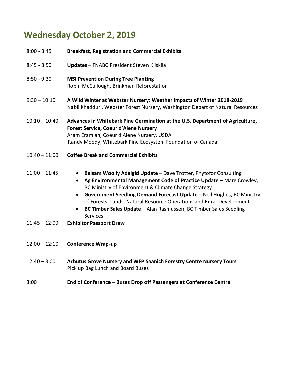# **Wednesday October 2, 2019**

| $8:00 - 8:45$                      | <b>Breakfast, Registration and Commercial Exhibits</b>                                                                                                                                                                                                                                                                                                                                                                                                                                                                         |
|------------------------------------|--------------------------------------------------------------------------------------------------------------------------------------------------------------------------------------------------------------------------------------------------------------------------------------------------------------------------------------------------------------------------------------------------------------------------------------------------------------------------------------------------------------------------------|
| $8:45 - 8:50$                      | Updates - FNABC President Steven Kiiskila                                                                                                                                                                                                                                                                                                                                                                                                                                                                                      |
| $8:50 - 9:30$                      | <b>MSI Prevention During Tree Planting</b><br>Robin McCullough, Brinkman Reforestation                                                                                                                                                                                                                                                                                                                                                                                                                                         |
| $9:30 - 10:10$                     | A Wild Winter at Webster Nursery: Weather Impacts of Winter 2018-2019<br>Nabil Khadduri, Webster Forest Nursery, Washington Depart of Natural Resources                                                                                                                                                                                                                                                                                                                                                                        |
| $10:10 - 10:40$                    | Advances in Whitebark Pine Germination at the U.S. Department of Agriculture,<br><b>Forest Service, Coeur d'Alene Nursery</b><br>Aram Eramian, Coeur d'Alene Nursery, USDA                                                                                                                                                                                                                                                                                                                                                     |
|                                    | Randy Moody, Whitebark Pine Ecosystem Foundation of Canada                                                                                                                                                                                                                                                                                                                                                                                                                                                                     |
| $10:40 - 11:00$                    | <b>Coffee Break and Commercial Exhibits</b>                                                                                                                                                                                                                                                                                                                                                                                                                                                                                    |
| $11:00 - 11:45$<br>$11:45 - 12:00$ | Balsam Woolly Adelgid Update - Dave Trotter, Phytofor Consulting<br>$\bullet$<br>Ag Environmental Management Code of Practice Update - Marg Crowley,<br>$\bullet$<br>BC Ministry of Environment & Climate Change Strategy<br>Government Seedling Demand Forecast Update - Neil Hughes, BC Ministry<br>$\bullet$<br>of Forests, Lands, Natural Resource Operations and Rural Development<br>BC Timber Sales Update - Alan Rasmussen, BC Timber Sales Seedling<br>$\bullet$<br><b>Services</b><br><b>Exhibitor Passport Draw</b> |
| $12:00 - 12:10$                    | <b>Conference Wrap-up</b>                                                                                                                                                                                                                                                                                                                                                                                                                                                                                                      |
| $12:40 - 3:00$                     | Arbutus Grove Nursery and WFP Saanich Forestry Centre Nursery Tours<br>Pick up Bag Lunch and Board Buses                                                                                                                                                                                                                                                                                                                                                                                                                       |
| 3:00                               | End of Conference - Buses Drop off Passengers at Conference Centre                                                                                                                                                                                                                                                                                                                                                                                                                                                             |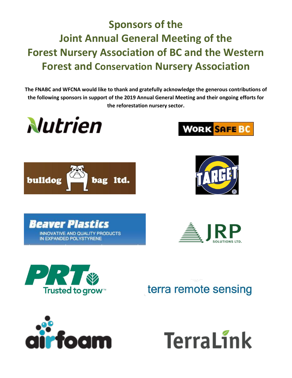**Sponsors of the Joint Annual General Meeting of the Forest Nursery Association of BC and the Western Forest and Conservation Nursery Association**

**The FNABC and WFCNA would like to thank and gratefully acknowledge the generous contributions of the following sponsors in support of the 2019 Annual General Meeting and their ongoing efforts for the reforestation nursery sector.**



**WORK SAFE BC** 















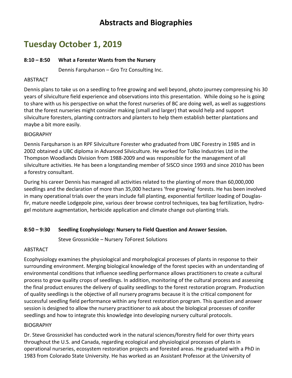# **Abstracts and Biographies**

# **Tuesday October 1, 2019**

# **8:10 – 8:50 What a Forester Wants from the Nursery**

Dennis Farquharson – Gro Trz Consulting Inc.

### ABSTRACT

Dennis plans to take us on a seedling to free growing and well beyond, photo journey compressing his 30 years of silviculture field experience and observations into this presentation. While doing so he is going to share with us his perspective on what the forest nurseries of BC are doing well, as well as suggestions that the forest nurseries might consider making (small and larger) that would help and support silviculture foresters, planting contractors and planters to help them establish better plantations and maybe a bit more easily.

#### BIOGRAPHY

Dennis Farquharson is an RPF Silviculture Forester who graduated from UBC Forestry in 1985 and in 2002 obtained a UBC diploma in Advanced Silviculture. He worked for Tolko Industries Ltd in the Thompson Woodlands Division from 1988-2009 and was responsible for the management of all silviculture activities. He has been a longstanding member of SISCO since 1993 and since 2010 has been a forestry consultant.

During his career Dennis has managed all activities related to the planting of more than 60,000,000 seedlings and the declaration of more than 35,000 hectares 'free growing' forests. He has been involved in many operational trials over the years include fall planting, exponential fertilizer loading of Douglasfir, mature needle Lodgepole pine, various deer browse control techniques, tea bag fertilization, hydrogel moisture augmentation, herbicide application and climate change out-planting trials.

# **8:50 – 9:30 Seedling Ecophysiology: Nursery to Field Question and Answer Session.**

Steve Grossnickle – Nursery *To*Forest Solutions

# ABSTRACT

Ecophysiology examines the physiological and morphological processes of plants in response to their surrounding environment. Merging biological knowledge of the forest species with an understanding of environmental conditions that influence seedling performance allows practitioners to create a cultural process to grow quality crops of seedlings. In addition, monitoring of the cultural process and assessing the final product ensures the delivery of quality seedlings to the forest restoration program. Production of quality seedlings is the objective of all nursery programs because it is the critical component for successful seedling field performance within any forest restoration program. This question and answer session is designed to allow the nursery practitioner to ask about the biological processes of conifer seedlings and how to integrate this knowledge into developing nursery cultural protocols.

# BIOGRAPHY

Dr. Steve Grossnickel has conducted work in the natural sciences/forestry field for over thirty years throughout the U.S. and Canada, regarding ecological and physiological processes of plants in operational nurseries, ecosystem restoration projects and forested areas. He graduated with a PhD in 1983 from Colorado State University. He has worked as an Assistant Professor at the University of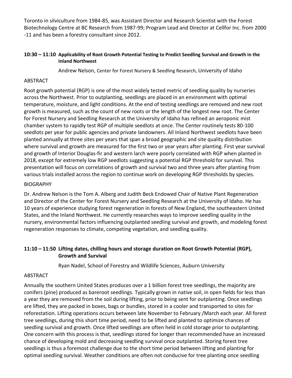Toronto in silviculture from 1984-85, was Assistant Director and Research Scientist with the Forest Biotechnology Centre at BC Research from 1987-99; Program Lead and Director at Cellfor Inc. from 2000 -11 and has been a forestry consultant since 2012.

# **10:30 – 11:10 Applicability of Root Growth Potential Testing to Predict Seedling Survival and Growth in the Inland Northwest**

Andrew Nelson, Center for Forest Nursery & Seedling Research, University of Idaho

#### ABSTRACT

Root growth potential (RGP) is one of the most widely tested metric of seedling quality by nurseries across the Northwest. Prior to outplanting, seedlings are placed in an environment with optimal temperature, moisture, and light conditions. At the end of testing seedlings are removed and new root growth is measured, such as the count of new roots or the length of the longest new root. The Center for Forest Nursery and Seedling Research at the University of Idaho has refined an aeroponic mist chamber system to rapidly test RGP of multiple seedlots at once. The Center routinely tests 80-100 seedlots per year for public agencies and private landowners. All Inland Northwest seedlots have been planted annually at three sites per years that span a broad geographic and site quality distribution where survival and growth are measured for the first two or year years after planting. First year survival and growth of Interior Douglas-fir and western larch were poorly correlated with RGP when planted in 2018, except for extremely low RGP seedlots suggesting a potential RGP threshold for survival. This presentation will focus on correlations of growth and survival two and three years after planting from various trials installed across the region to continue work on developing RGP thresholds by species.

#### BIOGRAPHY

Dr. Andrew Nelson is the Tom A. Alberg and Judith Beck Endowed Chair of Native Plant Regeneration and Director of the Center for Forest Nursery and Seedling Research at the University of Idaho. He has 10 years of experience studying forest regeneration in forests of New England, the southeastern United States, and the Inland Northwest. He currently researches ways to improve seedling quality in the nursery, environmental factors influencing outplanted seedling survival and growth, and modeling forest regeneration responses to climate, competing vegetation, and seedling quality.

# **11:10 – 11:50 Lifting dates, chilling hours and storage duration on Root Growth Potential (RGP), Growth and Survival**

Ryan Nadel, School of Forestry and Wildlife Sciences, Auburn University

# ABSTRACT

Annually the southern United States produces over a 1 billion forest tree seedlings, the majority are conifers (pine) produced as bareroot seedlings. Typically grown in native soil, in open fields for less than a year they are removed from the soil during lifting, prior to being sent for outplanting. Once seedlings are lifted, they are packed in boxes, bags or bundles, stored in a cooler and transported to sites for reforestation. Lifting operations occurs between late November to February /March each year. All forest tree seedlings, during this short time period, need to be lifted and planted to optimize chances of seedling survival and growth. Once lifted seedlings are often held in cold storage prior to outplanting. One concern with this process is that, seedlings stored for longer than recommended have an increased chance of developing mold and decreasing seedling survival once outplanted. Storing forest tree seedlings is thus a foremost challenge due to the short time period between lifting and planting for optimal seedling survival. Weather conditions are often not conducive for tree planting once seedling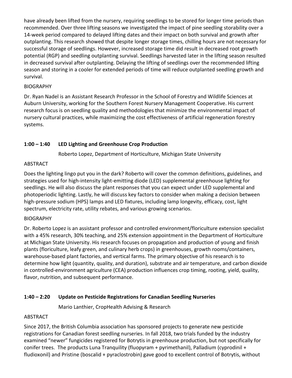have already been lifted from the nursery, requiring seedlings to be stored for longer time periods than recommended. Over three lifting seasons we investigated the impact of pine seedling storability over a 14-week period compared to delayed lifting dates and their impact on both survival and growth after outplanting. This research showed that despite longer storage times, chilling hours are not necessary for successful storage of seedlings. However, increased storage time did result in decreased root growth potential (RGP) and seedling outplanting survival. Seedlings harvested later in the lifting season resulted in decreased survival after outplanting. Delaying the lifting of seedlings over the recommended lifting season and storing in a cooler for extended periods of time will reduce outplanted seedling growth and survival.

# BIOGRAPHY

Dr. Ryan Nadel is an Assistant Research Professor in the School of Forestry and Wildlife Sciences at Auburn University, working for the Southern Forest Nursery Management Cooperative. His current research focus is on seedling quality and methodologies that minimize the environmental impact of nursery cultural practices, while maximizing the cost effectiveness of artificial regeneration forestry systems.

# **1:00 – 1:40 LED Lighting and Greenhouse Crop Production**

Roberto Lopez, Department of Horticulture, Michigan State University

# **ABSTRACT**

Does the lighting lingo put you in the dark? Roberto will cover the common definitions, guidelines, and strategies used for high-intensity light-emitting diode (LED) supplemental greenhouse lighting for seedlings. He will also discuss the plant responses that you can expect under LED supplemental and photoperiodic lighting. Lastly, he will discuss key factors to consider when making a decision between high-pressure sodium (HPS) lamps and LED fixtures, including lamp longevity, efficacy, cost, light spectrum, electricity rate, utility rebates, and various growing scenarios.

# BIOGRAPHY

Dr. Roberto Lopez is an assistant professor and controlled environment/floriculture extension specialist with a 45% research, 30% teaching, and 25% extension appointment in the Department of Horticulture at Michigan State University. His research focuses on propagation and production of young and finish plants (floriculture, leafy green, and culinary herb crops) in greenhouses, growth rooms/containers, warehouse-based plant factories, and vertical farms. The primary objective of his research is to determine how light (quantity, quality, and duration), substrate and air temperature, and carbon dioxide in controlled-environment agriculture (CEA) production influences crop timing, rooting, yield, quality, flavor, nutrition, and subsequent performance.

# **1:40 – 2:20 Update on Pesticide Registrations for Canadian Seedling Nurseries**

Mario Lanthier, CropHealth Advising & Research

# ABSTRACT

Since 2017, the British Columbia association has sponsored projects to generate new pesticide registrations for Canadian forest seedling nurseries. In fall 2018, two trials funded by the industry examined "newer" fungicides registered for Botrytis in greenhouse production, but not specifically for conifer trees. The products Luna Tranquility (fluopyram + pyrimethanil), Palladium (cyprodinil + fludioxonil) and Pristine (boscalid + pyraclostrobin) gave good to excellent control of Botrytis, without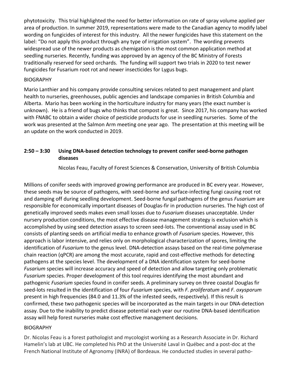phytotoxicity. This trial highlighted the need for better information on rate of spray volume applied per area of production. In summer 2019, representations were made to the Canadian agency to modify label wording on fungicides of interest for this industry. All the newer fungicides have this statement on the label: "Do not apply this product through any type of irrigation system". The wording prevents widespread use of the newer products as chemigation is the most common application method at seedling nurseries. Recently, funding was approved by an agency of the BC Ministry of Forests traditionally reserved for seed orchards. The funding will support two trials in 2020 to test newer fungicides for Fusarium root rot and newer insecticides for Lygus bugs.

#### BIOGRAPHY

Mario Lanthier and his company provide consulting services related to pest management and plant health to nurseries, greenhouses, public agencies and landscape companies in British Columbia and Alberta. Mario has been working in the horticulture industry for many years (the exact number is unknown). He is a friend of bugs who thinks that compost is great. Since 2017, his company has worked with FNABC to obtain a wider choice of pesticide products for use in seedling nurseries. Some of the work was presented at the Salmon Arm meeting one year ago. The presentation at this meeting will be an update on the work conducted in 2019.

# **2:50 – 3:30 Using DNA-based detection technology to prevent conifer seed-borne pathogen diseases**

Nicolas Feau, Faculty of Forest Sciences & Conservation, University of British Columbia

Millions of conifer seeds with improved growing performance are produced in BC every year. However, these seeds may be source of pathogens, with seed-borne and surface-infecting fungi causing root rot and damping off during seedling development. Seed-borne fungal pathogens of the genus *Fusarium* are responsible for economically important diseases of Douglas-fir in production nurseries. The high cost of genetically improved seeds makes even small losses due to *Fusarium* diseases unacceptable. Under nursery production conditions, the most effective disease management strategy is exclusion which is accomplished by using seed detection assays to screen seed-lots. The conventional assay used in BC consists of planting seeds on artificial media to enhance growth of *Fusarium* species. However, this approach is labor intensive, and relies only on morphological characterization of spores, limiting the identification of *Fusarium* to the genus level. DNA-detection assays based on the real-time polymerase chain reaction (qPCR) are among the most accurate, rapid and cost-effective methods for detecting pathogens at the species level. The development of a DNA identification system for seed-borne *Fusarium* species will increase accuracy and speed of detection and allow targeting only problematic *Fusarium* species. Proper development of this tool requires identifying the most abundant and pathogenic *Fusarium* species found in conifer seeds. A preliminary survey on three coastal Douglas fir seed-lots resulted in the identification of four *Fusarium* species, with *F. proliferatum* and *F. oxysporum* present in high frequencies (84.0 and 11.3% of the infested seeds, respectively). If this result is confirmed, these two pathogenic species will be incorporated as the main targets in our DNA-detection assay. Due to the inability to predict disease potential each year our routine DNA-based identification assay will help forest nurseries make cost effective management decisions.

#### BIOGRAPHY

Dr. Nicolas Feau is a forest pathologist and mycologist working as a Research Associate in Dr. Richard Hamelin's lab at UBC. He completed his PhD at the Université Laval in Québec and a post-doc at the French National Institute of Agronomy (INRA) of Bordeaux. He conducted studies in several patho-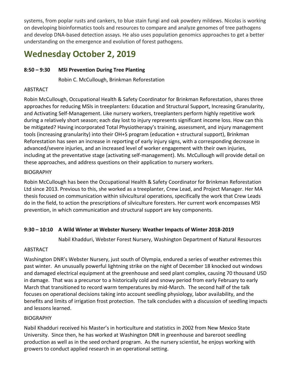systems, from poplar rusts and cankers, to blue stain fungi and oak powdery mildews. Nicolas is working on developing bioinformatics tools and resources to compare and analyze genomes of tree pathogens and develop DNA-based detection assays. He also uses population genomics approaches to get a better understanding on the emergence and evolution of forest pathogens.

# **Wednesday October 2, 2019**

# **8:50 – 9:30 MSI Prevention During Tree Planting**

Robin C. McCullough, Brinkman Reforestation

# ABSTRACT

Robin McCullough, Occupational Health & Safety Coordinator for Brinkman Reforestation, shares three approaches for reducing MSIs in treeplanters: Education and Structural Support, Increasing Granularity, and Activating Self-Management. Like nursery workers, treeplanters perform highly repetitive work during a relatively short season; each day lost to injury represents significant income loss. How can this be mitigated? Having incorporated Total Physiotherapy's training, assessment, and injury management tools (increasing granularity) into their OH+S program (education + structural support), Brinkman Reforestation has seen an increase in reporting of early injury signs, with a corresponding decrease in advanced/severe injuries, and an increased level of worker engagement with their own injuries, including at the preventative stage (activating self-management). Ms. McCullough will provide detail on these approaches, and address questions on their application to nursery workers.

# BIOGRAPHY

Robin McCullough has been the Occupational Health & Safety Coordinator for Brinkman Reforestation Ltd since 2013. Previous to this, she worked as a treeplanter, Crew Lead, and Project Manager. Her MA thesis focused on communication within silvicultural operations, specifically the work that Crew Leads do in the field, to action the prescriptions of silviculture foresters. Her current work encompasses MSI prevention, in which communication and structural support are key components.

# **9:30 – 10:10 A Wild Winter at Webster Nursery: Weather Impacts of Winter 2018-2019**

Nabil Khadduri, Webster Forest Nursery, Washington Department of Natural Resources

# ABSTRACT

Washington DNR's Webster Nursery, just south of Olympia, endured a series of weather extremes this past winter. An unusually powerful lightning strike on the night of December 18 knocked out windows and damaged electrical equipment at the greenhouse and seed plant complex, causing 70 thousand USD in damage. That was a precursor to a historically cold and snowy period from early February to early March that transitioned to record warm temperatures by mid-March. The second half of the talk focuses on operational decisions taking into account seedling physiology, labor availability, and the benefits and limits of irrigation frost protection. The talk concludes with a discussion of seedling impacts and lessons learned.

# BIOGRAPHY

Nabil Khadduri received his Master's in horticulture and statistics in 2002 from New Mexico State University. Since then, he has worked at Washington DNR in greenhouse and bareroot seedling production as well as in the seed orchard program. As the nursery scientist, he enjoys working with growers to conduct applied research in an operational setting.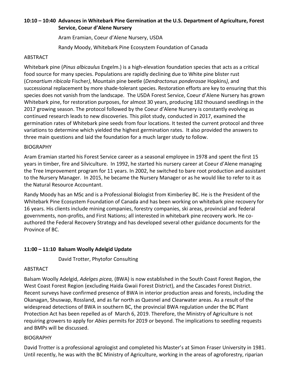# **10:10 – 10:40 Advances in Whitebark Pine Germination at the U.S. Department of Agriculture, Forest Service, Coeur d'Alene Nursery**

Aram Eramian, Coeur d'Alene Nursery, USDA

Randy Moody, Whitebark Pine Ecosystem Foundation of Canada

#### ABSTRACT

Whitebark pine (*Pinus albicaulus* Engelm.) is a high-elevation foundation species that acts as a critical food source for many species. Populations are rapidly declining due to White pine blister rust (*Cronartium ribicola* Fischer*)*, Mountain pine beetle (*Dendroctonus ponderosae* Hopkins*)*, and successional replacement by more shade-tolerant species. Restoration efforts are key to ensuring that this species does not vanish from the landscape. The USDA Forest Service, Coeur d'Alene Nursery has grown Whitebark pine, for restoration purposes, for almost 30 years, producing 182 thousand seedlings in the 2017 growing season. The protocol followed by the Coeur d'Alene Nursery is constantly evolving as continued research leads to new discoveries. This pilot study, conducted in 2017, examined the germination rates of Whitebark pine seeds from four locations. It tested the current protocol and three variations to determine which yielded the highest germination rates. It also provided the answers to three main questions and laid the foundation for a much larger study to follow.

#### BIOGRAPHY

Aram Eramian started his Forest Service career as a seasonal employee in 1978 and spent the first 15 years in timber, fire and Silviculture. In 1992, he started his nursery career at Coeur d'Alene managing the Tree Improvement program for 11 years. In 2002, he switched to bare root production and assistant to the Nursery Manager. In 2015, he became the Nursery Manager or as he would like to refer to it as the Natural Resource Accountant.

Randy Moody has an MSc and is a Professional Biologist from Kimberley BC. He is the President of the Whitebark Pine Ecosystem Foundation of Canada and has been working on whitebark pine recovery for 16 years. His clients include mining companies, forestry companies, ski areas, provincial and federal governments, non-profits, and First Nations; all interested in whitebark pine recovery work. He coauthored the Federal Recovery Strategy and has developed several other guidance documents for the Province of BC.

#### **11:00 – 11:10 Balsam Woolly Adelgid Update**

David Trotter, Phytofor Consulting

#### ABSTRACT

Balsam Woolly Adelgid, *Adelges picea,* (BWA) is now established in the South Coast Forest Region, the West Coast Forest Region (excluding Haida Gwaii Forest District), and the Cascades Forest District. Recent surveys have confirmed presence of BWA in interior production areas and forests, including the Okanagan, Shuswap, Rossland, and as far north as Quesnel and Clearwater areas. As a result of the widespread detections of BWA in southern BC, the provincial BWA regulation under the BC Plant Protection Act has been repelled as of March 6, 2019. Therefore, the Ministry of Agriculture is not requiring growers to apply for *Abies* permits for 2019 or beyond. The implications to seedling requests and BMPs will be discussed.

#### **BIOGRAPHY**

David Trotter is a professional agrologist and completed his Master's at Simon Fraser University in 1981. Until recently, he was with the BC Ministry of Agriculture, working in the areas of agroforestry, riparian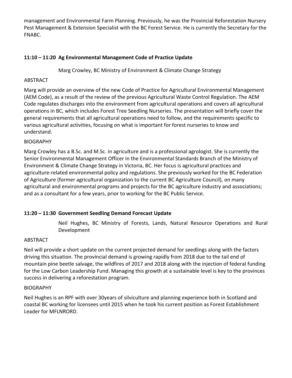management and Environmental Farm Planning. Previously, he was the Provincial Reforestation Nursery Pest Management & Extension Specialist with the BC Forest Service. He is currently the Secretary for the FNABC.

# **11:10 – 11:20 Ag Environmental Management Code of Practice Update**

Marg Crowley, BC Ministry of Environment & Climate Change Strategy

# ABSTRACT

Marg will provide an overview of the new Code of Practice for Agricultural Environmental Management (AEM Code), as a result of the review of the previous Agricultural Waste Control Regulation. The AEM Code regulates discharges into the environment from agricultural operations and covers all agricultural operations in BC, which includes Forest Tree Seedling Nurseries. The presentation will briefly cover the general requirements that all agricultural operations need to follow, and the requirements specific to various agricultural activities, focusing on what is important for forest nurseries to know and understand.

# BIOGRAPHY

Marg Crowley has a B.Sc. and M.Sc. in agriculture and is a professional agrologist. She is currently the Senior Environmental Management Officer in the Environmental Standards Branch of the Ministry of Environment & Climate Change Strategy in Victoria, BC. Her focus is agricultural practices and agriculture-related environmental policy and regulations. She previously worked for the BC Federation of Agriculture (former agricultural organization to the current BC Agriculture Council), on many agricultural and environmental programs and projects for the BC agriculture industry and associations; and as a consultant for a few years, prior to working for the BC Public Service.

# **11:20 – 11:30 Government Seedling Demand Forecast Update**

Neil Hughes, BC Ministry of Forests, Lands, Natural Resource Operations and Rural Development

# ABSTRACT

Neil will provide a short update on the current projected demand for seedlings along with the factors driving this situation. The provincial demand is growing rapidly from 2018 due to the tail end of mountain pine beetle salvage, the wildfires of 2017 and 2018 along with the injection of federal funding for the Low Carbon Leadership Fund. Managing this growth at a sustainable level is key to the provinces success in delivering a reforestation program.

# BIOGRAPHY

Neil Hughes is an RPF with over 30years of silviculture and planning experience both in Scotland and coastal BC working for licensees until 2015 when he took his current position as Forest Establishment Leader for MFLNRORD.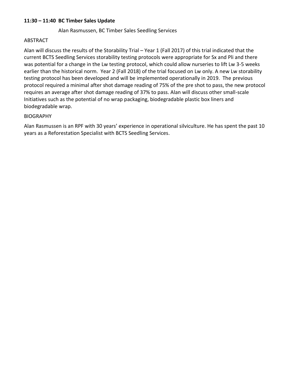#### **11:30 – 11:40 BC Timber Sales Update**

#### Alan Rasmussen, BC Timber Sales Seedling Services

#### **ABSTRACT**

Alan will discuss the results of the Storability Trial – Year 1 (Fall 2017) of this trial indicated that the current BCTS Seedling Services storability testing protocols were appropriate for Sx and Pli and there was potential for a change in the Lw testing protocol, which could allow nurseries to lift Lw 3-5 weeks earlier than the historical norm. Year 2 (Fall 2018) of the trial focused on Lw only. A new Lw storability testing protocol has been developed and will be implemented operationally in 2019. The previous protocol required a minimal after shot damage reading of 75% of the pre shot to pass, the new protocol requires an average after shot damage reading of 37% to pass. Alan will discuss other small-scale Initiatives such as the potential of no wrap packaging, biodegradable plastic box liners and biodegradable wrap.

#### BIOGRAPHY

Alan Rasmussen is an RPF with 30 years' experience in operational silviculture. He has spent the past 10 years as a Reforestation Specialist with BCTS Seedling Services.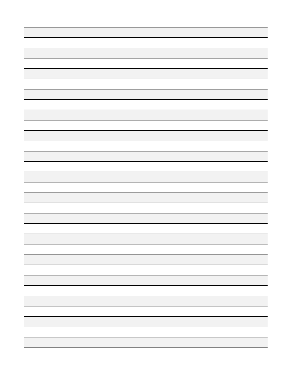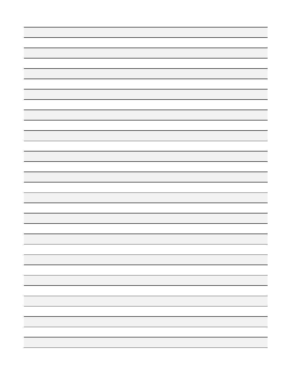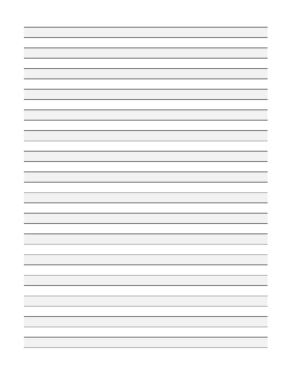